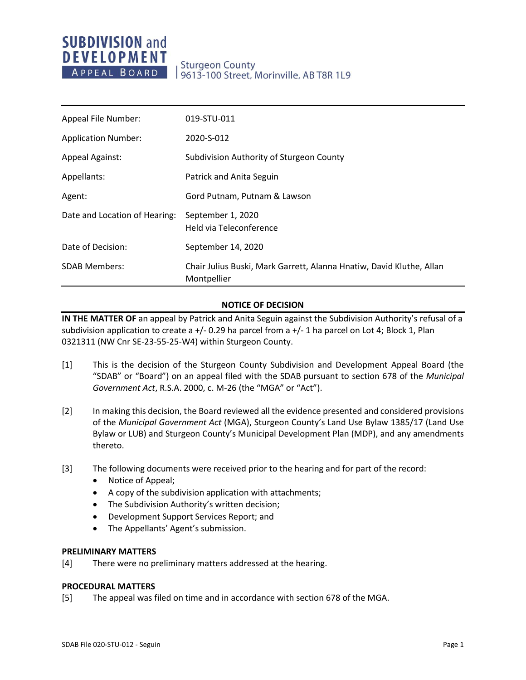# **SUBDIVISION and DEVELOPMENT** APPEAL BOARD

| Appeal File Number:           | 019-STU-011                                                                         |
|-------------------------------|-------------------------------------------------------------------------------------|
| <b>Application Number:</b>    | 2020-S-012                                                                          |
| <b>Appeal Against:</b>        | Subdivision Authority of Sturgeon County                                            |
| Appellants:                   | Patrick and Anita Seguin                                                            |
| Agent:                        | Gord Putnam, Putnam & Lawson                                                        |
| Date and Location of Hearing: | September 1, 2020<br>Held via Teleconference                                        |
| Date of Decision:             | September 14, 2020                                                                  |
| <b>SDAB Members:</b>          | Chair Julius Buski, Mark Garrett, Alanna Hnatiw, David Kluthe, Allan<br>Montpellier |

# **NOTICE OF DECISION**

**IN THE MATTER OF** an appeal by Patrick and Anita Seguin against the Subdivision Authority's refusal of a subdivision application to create a +/- 0.29 ha parcel from a +/- 1 ha parcel on Lot 4; Block 1, Plan 0321311 (NW Cnr SE-23-55-25-W4) within Sturgeon County.

- [1] This is the decision of the Sturgeon County Subdivision and Development Appeal Board (the "SDAB" or "Board") on an appeal filed with the SDAB pursuant to section 678 of the *Municipal Government Act*, R.S.A. 2000, c. M-26 (the "MGA" or "Act").
- [2] In making this decision, the Board reviewed all the evidence presented and considered provisions of the *Municipal Government Act* (MGA), Sturgeon County's Land Use Bylaw 1385/17 (Land Use Bylaw or LUB) and Sturgeon County's Municipal Development Plan (MDP), and any amendments thereto.
- [3] The following documents were received prior to the hearing and for part of the record:
	- Notice of Appeal;
	- A copy of the subdivision application with attachments;
	- The Subdivision Authority's written decision;
	- Development Support Services Report; and
	- The Appellants' Agent's submission.

#### **PRELIMINARY MATTERS**

[4] There were no preliminary matters addressed at the hearing.

# **PROCEDURAL MATTERS**

[5] The appeal was filed on time and in accordance with section 678 of the MGA.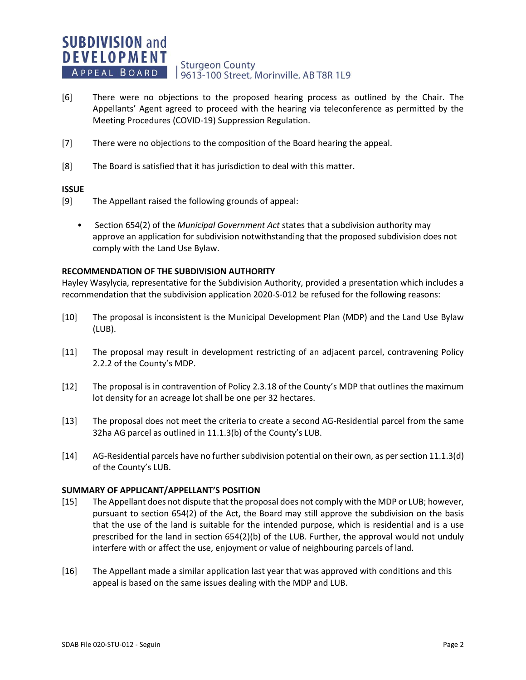#### **SUBDIVISION and DEVELOPMENT Sturgeon County** APPEAL BOARD 19613-100 Street, Morinville, AB T8R 1L9

- [6] There were no objections to the proposed hearing process as outlined by the Chair. The Appellants' Agent agreed to proceed with the hearing via teleconference as permitted by the Meeting Procedures (COVID-19) Suppression Regulation.
- [7] There were no objections to the composition of the Board hearing the appeal.
- [8] The Board is satisfied that it has jurisdiction to deal with this matter.

## **ISSUE**

- [9] The Appellant raised the following grounds of appeal:
	- Section 654(2) of the *Municipal Government Act* states that a subdivision authority may approve an application for subdivision notwithstanding that the proposed subdivision does not comply with the Land Use Bylaw.

## **RECOMMENDATION OF THE SUBDIVISION AUTHORITY**

Hayley Wasylycia, representative for the Subdivision Authority, provided a presentation which includes a recommendation that the subdivision application 2020-S-012 be refused for the following reasons:

- [10] The proposal is inconsistent is the Municipal Development Plan (MDP) and the Land Use Bylaw (LUB).
- [11] The proposal may result in development restricting of an adjacent parcel, contravening Policy 2.2.2 of the County's MDP.
- [12] The proposal is in contravention of Policy 2.3.18 of the County's MDP that outlines the maximum lot density for an acreage lot shall be one per 32 hectares.
- [13] The proposal does not meet the criteria to create a second AG-Residential parcel from the same 32ha AG parcel as outlined in 11.1.3(b) of the County's LUB.
- [14] AG-Residential parcels have no further subdivision potential on their own, as per section 11.1.3(d) of the County's LUB.

#### **SUMMARY OF APPLICANT/APPELLANT'S POSITION**

- [15] The Appellant does not dispute that the proposal does not comply with the MDP or LUB; however, pursuant to section 654(2) of the Act, the Board may still approve the subdivision on the basis that the use of the land is suitable for the intended purpose, which is residential and is a use prescribed for the land in section 654(2)(b) of the LUB. Further, the approval would not unduly interfere with or affect the use, enjoyment or value of neighbouring parcels of land.
- [16] The Appellant made a similar application last year that was approved with conditions and this appeal is based on the same issues dealing with the MDP and LUB.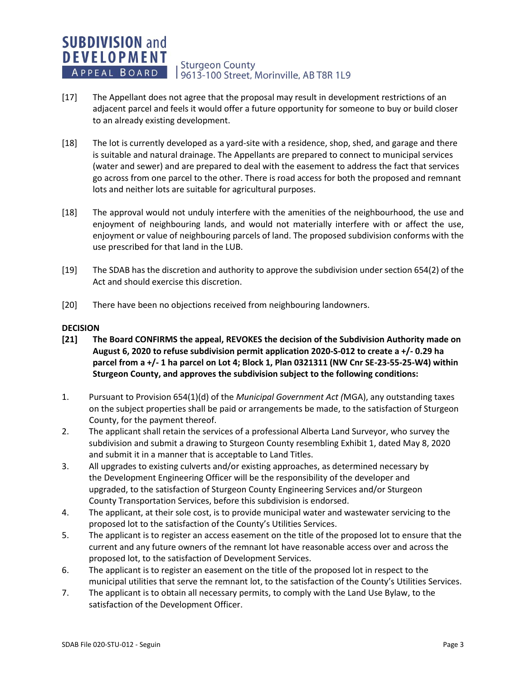#### **SUBDIVISION and DEVELOPMENT Sturgeon County** APPEAL BOARD 19613-100 Street, Morinville, AB T8R 1L9

- [17] The Appellant does not agree that the proposal may result in development restrictions of an adjacent parcel and feels it would offer a future opportunity for someone to buy or build closer to an already existing development.
- [18] The lot is currently developed as a yard-site with a residence, shop, shed, and garage and there is suitable and natural drainage. The Appellants are prepared to connect to municipal services (water and sewer) and are prepared to deal with the easement to address the fact that services go across from one parcel to the other. There is road access for both the proposed and remnant lots and neither lots are suitable for agricultural purposes.
- [18] The approval would not unduly interfere with the amenities of the neighbourhood, the use and enjoyment of neighbouring lands, and would not materially interfere with or affect the use, enjoyment or value of neighbouring parcels of land. The proposed subdivision conforms with the use prescribed for that land in the LUB.
- [19] The SDAB has the discretion and authority to approve the subdivision under section 654(2) of the Act and should exercise this discretion.
- [20] There have been no objections received from neighbouring landowners.

## **DECISION**

- **[21] The Board CONFIRMS the appeal, REVOKES the decision of the Subdivision Authority made on August 6, 2020 to refuse subdivision permit application 2020-S-012 to create a +/- 0.29 ha parcel from a +/- 1 ha parcel on Lot 4; Block 1, Plan 0321311 (NW Cnr SE-23-55-25-W4) within Sturgeon County, and approves the subdivision subject to the following conditions:**
- 1. Pursuant to Provision 654(1)(d) of the *Municipal Government Act (*MGA), any outstanding taxes on the subject properties shall be paid or arrangements be made, to the satisfaction of Sturgeon County, for the payment thereof.
- 2. The applicant shall retain the services of a professional Alberta Land Surveyor, who survey the subdivision and submit a drawing to Sturgeon County resembling Exhibit 1, dated May 8, 2020 and submit it in a manner that is acceptable to Land Titles.
- 3. All upgrades to existing culverts and/or existing approaches, as determined necessary by the Development Engineering Officer will be the responsibility of the developer and upgraded, to the satisfaction of Sturgeon County Engineering Services and/or Sturgeon County Transportation Services, before this subdivision is endorsed.
- 4. The applicant, at their sole cost, is to provide municipal water and wastewater servicing to the proposed lot to the satisfaction of the County's Utilities Services.
- 5. The applicant is to register an access easement on the title of the proposed lot to ensure that the current and any future owners of the remnant lot have reasonable access over and across the proposed lot, to the satisfaction of Development Services.
- 6. The applicant is to register an easement on the title of the proposed lot in respect to the municipal utilities that serve the remnant lot, to the satisfaction of the County's Utilities Services.
- 7. The applicant is to obtain all necessary permits, to comply with the Land Use Bylaw, to the satisfaction of the Development Officer.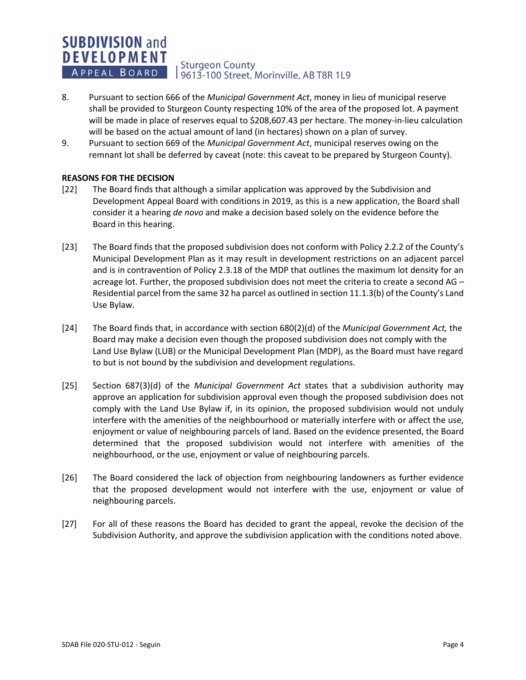#### **SUBDIVISION and DEVELOPMENT Sturgeon County** APPEAL BOARD 9613-100 Street, Morinville, AB T8R 1L9

- 8. Pursuant to section 666 of the *Municipal Government Act*, money in lieu of municipal reserve shall be provided to Sturgeon County respecting 10% of the area of the proposed lot. A payment will be made in place of reserves equal to \$208,607.43 per hectare. The money-in-lieu calculation will be based on the actual amount of land (in hectares) shown on a plan of survey.
- 9. Pursuant to section 669 of the *Municipal Government Act*, municipal reserves owing on the remnant lot shall be deferred by caveat (note: this caveat to be prepared by Sturgeon County).

# **REASONS FOR THE DECISION**

- [22] The Board finds that although a similar application was approved by the Subdivision and Development Appeal Board with conditions in 2019, as this is a new application, the Board shall consider it a hearing *de novo* and make a decision based solely on the evidence before the Board in this hearing.
- [23] The Board finds that the proposed subdivision does not conform with Policy 2.2.2 of the County's Municipal Development Plan as it may result in development restrictions on an adjacent parcel and is in contravention of Policy 2.3.18 of the MDP that outlines the maximum lot density for an acreage lot. Further, the proposed subdivision does not meet the criteria to create a second AG – Residential parcel from the same 32 ha parcel as outlined in section 11.1.3(b) of the County's Land Use Bylaw.
- [24] The Board finds that, in accordance with section 680(2)(d) of the *Municipal Government Act,* the Board may make a decision even though the proposed subdivision does not comply with the Land Use Bylaw (LUB) or the Municipal Development Plan (MDP), as the Board must have regard to but is not bound by the subdivision and development regulations.
- [25] Section 687(3)(d) of the *Municipal Government Act* states that a subdivision authority may approve an application for subdivision approval even though the proposed subdivision does not comply with the Land Use Bylaw if, in its opinion, the proposed subdivision would not unduly interfere with the amenities of the neighbourhood or materially interfere with or affect the use, enjoyment or value of neighbouring parcels of land. Based on the evidence presented, the Board determined that the proposed subdivision would not interfere with amenities of the neighbourhood, or the use, enjoyment or value of neighbouring parcels.
- [26] The Board considered the lack of objection from neighbouring landowners as further evidence that the proposed development would not interfere with the use, enjoyment or value of neighbouring parcels.
- [27] For all of these reasons the Board has decided to grant the appeal, revoke the decision of the Subdivision Authority, and approve the subdivision application with the conditions noted above.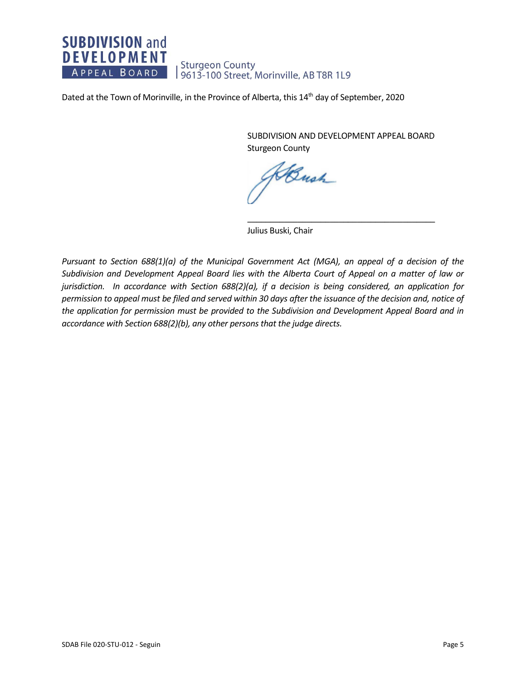# **SUBDIVISION and DEVELOPMENT** Sturgeon County<br>| 9613-100 Street, Morinville, AB T8R 1L9 APPEAL BOARD

Dated at the Town of Morinville, in the Province of Alberta, this 14<sup>th</sup> day of September, 2020

SUBDIVISION AND DEVELOPMENT APPEAL BOARD Sturgeon County

 $\overline{\phantom{a}}$  , and the set of the set of the set of the set of the set of the set of the set of the set of the set of the set of the set of the set of the set of the set of the set of the set of the set of the set of the s

Bush

Julius Buski, Chair

*Pursuant to Section 688(1)(a) of the Municipal Government Act (MGA), an appeal of a decision of the Subdivision and Development Appeal Board lies with the Alberta Court of Appeal on a matter of law or jurisdiction. In accordance with Section 688(2)(a), if a decision is being considered, an application for permission to appeal must be filed and served within 30 days after the issuance of the decision and, notice of the application for permission must be provided to the Subdivision and Development Appeal Board and in accordance with Section 688(2)(b), any other persons that the judge directs.*